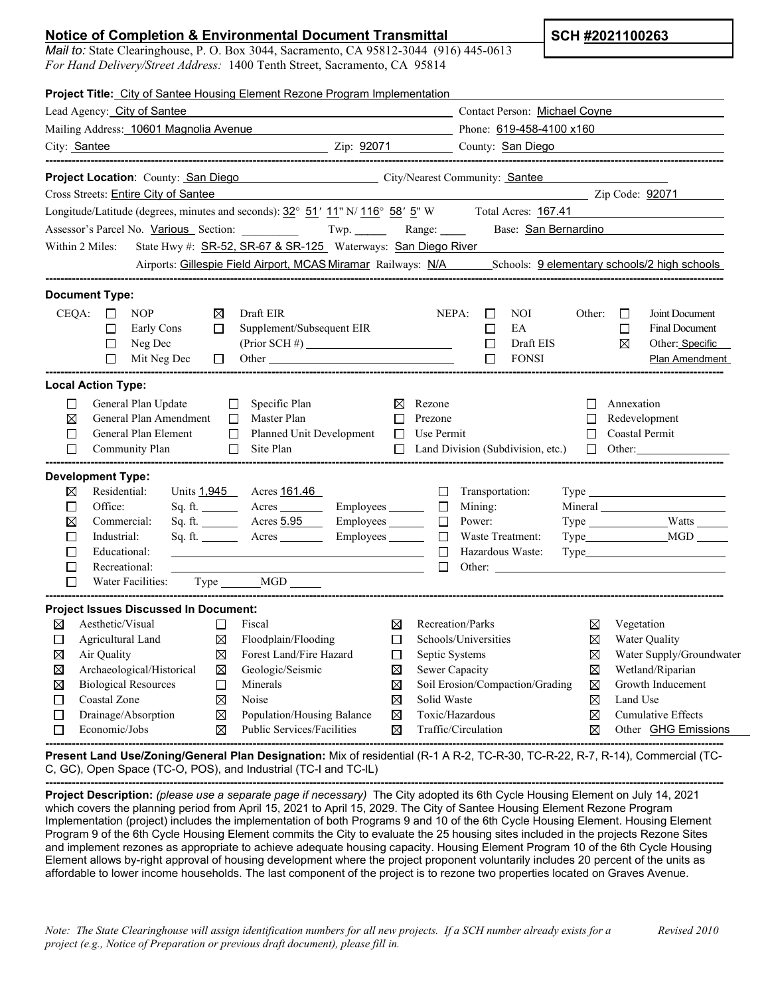## **Notice of Completion & Environmental Document Transmittal**

*Mail to:* State Clearinghouse, P. O. Box 3044, Sacramento, CA 95812-3044 (916) 445-0613 *For Hand Delivery/Street Address:* 1400 Tenth Street, Sacramento, CA 95814

| Project Title: City of Santee Housing Element Rezone Program Implementation                                                                                                                                                                                                                                                                                                                                             |                                         |                                                                                         |                                                 |                                                                              |  |
|-------------------------------------------------------------------------------------------------------------------------------------------------------------------------------------------------------------------------------------------------------------------------------------------------------------------------------------------------------------------------------------------------------------------------|-----------------------------------------|-----------------------------------------------------------------------------------------|-------------------------------------------------|------------------------------------------------------------------------------|--|
| Lead Agency: City of Santee                                                                                                                                                                                                                                                                                                                                                                                             |                                         | Contact Person: Michael Coyne                                                           |                                                 |                                                                              |  |
| Mailing Address: 10601 Magnolia Avenue                                                                                                                                                                                                                                                                                                                                                                                  |                                         | Phone: 619-458-4100 x160<br>Zip: 92071 County: San Diego                                |                                                 |                                                                              |  |
| City: Santee                                                                                                                                                                                                                                                                                                                                                                                                            |                                         |                                                                                         |                                                 |                                                                              |  |
| <b>Project Location:</b> County: <b>San Diego</b> City/Nearest Community: <b>Santee</b>                                                                                                                                                                                                                                                                                                                                 |                                         |                                                                                         |                                                 |                                                                              |  |
| Cross Streets: Entire City of Santee                                                                                                                                                                                                                                                                                                                                                                                    |                                         | Zip Code: <u>92071</u>                                                                  |                                                 |                                                                              |  |
| Longitude/Latitude (degrees, minutes and seconds): $32^{\circ}$ 51' 11" N/ 116° 58' 5" W Total Acres: 167.41                                                                                                                                                                                                                                                                                                            |                                         |                                                                                         |                                                 |                                                                              |  |
| Assessor's Parcel No. Various Section: Twp. Twp. Range: Base: San Bernardino                                                                                                                                                                                                                                                                                                                                            |                                         |                                                                                         |                                                 |                                                                              |  |
| State Hwy #: SR-52, SR-67 & SR-125 Waterways: San Diego River<br>Within 2 Miles:                                                                                                                                                                                                                                                                                                                                        |                                         |                                                                                         |                                                 |                                                                              |  |
| Airports: Gillespie Field Airport, MCAS Miramar Railways: N/A Schools: 9 elementary schools/2 high schools                                                                                                                                                                                                                                                                                                              |                                         |                                                                                         |                                                 |                                                                              |  |
| <b>Document Type:</b>                                                                                                                                                                                                                                                                                                                                                                                                   |                                         |                                                                                         |                                                 |                                                                              |  |
| CEQA:<br><b>NOP</b><br>Draft EIR<br>$\Box$<br>⊠<br>$\Box$<br>Supplement/Subsequent EIR<br>□<br>Early Cons<br>$(Prior SCH \#)$<br>$\Box$<br>Neg Dec<br>$\Box$<br>Mit Neg Dec<br>$\Box$<br>Other contracts and the contract of the contract of the contract of the contract of the contract of the contract of the contract of the contract of the contract of the contract of the contract of the contract of the contra |                                         | NEPA:<br>NOI<br>$\Box$<br>$\Box$<br>EA<br>Draft EIS<br>$\Box$<br>$\Box$<br><b>FONSI</b> | Other:<br>$\Box$<br>$\Box$<br>⊠                 | Joint Document<br><b>Final Document</b><br>Other: Specific<br>Plan Amendment |  |
| <b>Local Action Type:</b>                                                                                                                                                                                                                                                                                                                                                                                               |                                         |                                                                                         |                                                 |                                                                              |  |
| General Plan Update<br>Specific Plan<br>□<br>□<br>⊠<br>General Plan Amendment<br>Master Plan<br>П<br>$\Box$<br>General Plan Element<br>$\Box$<br>Planned Unit Development<br>$\Box$<br>$\Box$ Site Plan<br>Community Plan                                                                                                                                                                                               | $\boxtimes$ Rezone<br>$\Box$<br>$\Box$  | Prezone<br>Use Permit<br>$\Box$ Land Division (Subdivision, etc.)                       | П<br>Annexation<br>□<br>$\Box$<br>$\Box$ Other: | Redevelopment<br>Coastal Permit                                              |  |
| <b>Development Type:</b><br>Residential:<br>$\boxtimes$<br>Units 1,945 Acres 161.46<br>Office:<br>□                                                                                                                                                                                                                                                                                                                     |                                         | □<br>Transportation:<br>$\Box$<br>Mining:                                               |                                                 |                                                                              |  |
| ⊠<br>Commercial:                                                                                                                                                                                                                                                                                                                                                                                                        |                                         | Power:<br>$\Box$                                                                        |                                                 |                                                                              |  |
| □<br>Industrial:                                                                                                                                                                                                                                                                                                                                                                                                        |                                         | $\Box$<br>Waste Treatment:                                                              |                                                 |                                                                              |  |
| П<br>Educational:                                                                                                                                                                                                                                                                                                                                                                                                       |                                         | $\Box$<br>Hazardous Waste:                                                              |                                                 |                                                                              |  |
| $\Box$<br>Recreational:<br>□<br>Water Facilities: Type _______MGD ______                                                                                                                                                                                                                                                                                                                                                | <u> 1989 - Johann Barbara, martin a</u> | $\Box$<br>Other:                                                                        |                                                 |                                                                              |  |
| <b>Project Issues Discussed In Document:</b>                                                                                                                                                                                                                                                                                                                                                                            |                                         |                                                                                         |                                                 |                                                                              |  |
| Aesthetic/Visual<br>⊠<br>$\Box$<br>Fiscal                                                                                                                                                                                                                                                                                                                                                                               | ⊠                                       | Recreation/Parks                                                                        | ⊠                                               | Vegetation                                                                   |  |
| $\Box$<br>Agricultural Land<br>⊠<br>Floodplain/Flooding                                                                                                                                                                                                                                                                                                                                                                 | $\Box$                                  | Schools/Universities                                                                    | $\boxtimes$                                     | Water Quality                                                                |  |
| Forest Land/Fire Hazard<br>⊠<br>Air Quality<br>⊠                                                                                                                                                                                                                                                                                                                                                                        | □                                       | Septic Systems                                                                          | ⊠                                               | Water Supply/Groundwater                                                     |  |
| $\boxtimes$<br>Archaeological/Historical<br>Geologic/Seismic<br>⊠                                                                                                                                                                                                                                                                                                                                                       | ⊠                                       | Sewer Capacity                                                                          | ⊠                                               | Wetland/Riparian                                                             |  |
| <b>Biological Resources</b><br>$\Box$<br>⊠<br>Minerals                                                                                                                                                                                                                                                                                                                                                                  | ⊠                                       | Soil Erosion/Compaction/Grading                                                         | ⊠                                               | Growth Inducement                                                            |  |
| Coastal Zone<br>⊠<br>□<br>Noise                                                                                                                                                                                                                                                                                                                                                                                         | $\boxtimes$                             | Solid Waste                                                                             | Land Use<br>⊠                                   |                                                                              |  |
| $\Box$<br>Drainage/Absorption<br>⊠<br>Population/Housing Balance                                                                                                                                                                                                                                                                                                                                                        | $\boxtimes$                             | Toxic/Hazardous                                                                         | ⊠                                               | <b>Cumulative Effects</b>                                                    |  |
| $\boxtimes$<br>П<br>Economic/Jobs<br>Public Services/Facilities                                                                                                                                                                                                                                                                                                                                                         | ⊠                                       | Traffic/Circulation                                                                     | ⊠                                               | Other <b>GHG Emissions</b>                                                   |  |

**------------------------------------------------------------------------------------------------------------------------------------------------------------------------------------ Present Land Use/Zoning/General Plan Designation:** Mix of residential (R-1 A R-2, TC-R-30, TC-R-22, R-7, R-14), Commercial (TC-C, GC), Open Space (TC-O, POS), and Industrial (TC-I and TC-lL)

**------------------------------------------------------------------------------------------------------------------------------------------------------------------------------------ Project Description:** *(please use a separate page if necessary)* The City adopted its 6th Cycle Housing Element on July 14, 2021 which covers the planning period from April 15, 2021 to April 15, 2029. The City of Santee Housing Element Rezone Program Implementation (project) includes the implementation of both Programs 9 and 10 of the 6th Cycle Housing Element. Housing Element Program 9 of the 6th Cycle Housing Element commits the City to evaluate the 25 housing sites included in the projects Rezone Sites and implement rezones as appropriate to achieve adequate housing capacity. Housing Element Program 10 of the 6th Cycle Housing Element allows by-right approval of housing development where the project proponent voluntarily includes 20 percent of the units as affordable to lower income households. The last component of the project is to rezone two properties located on Graves Avenue.